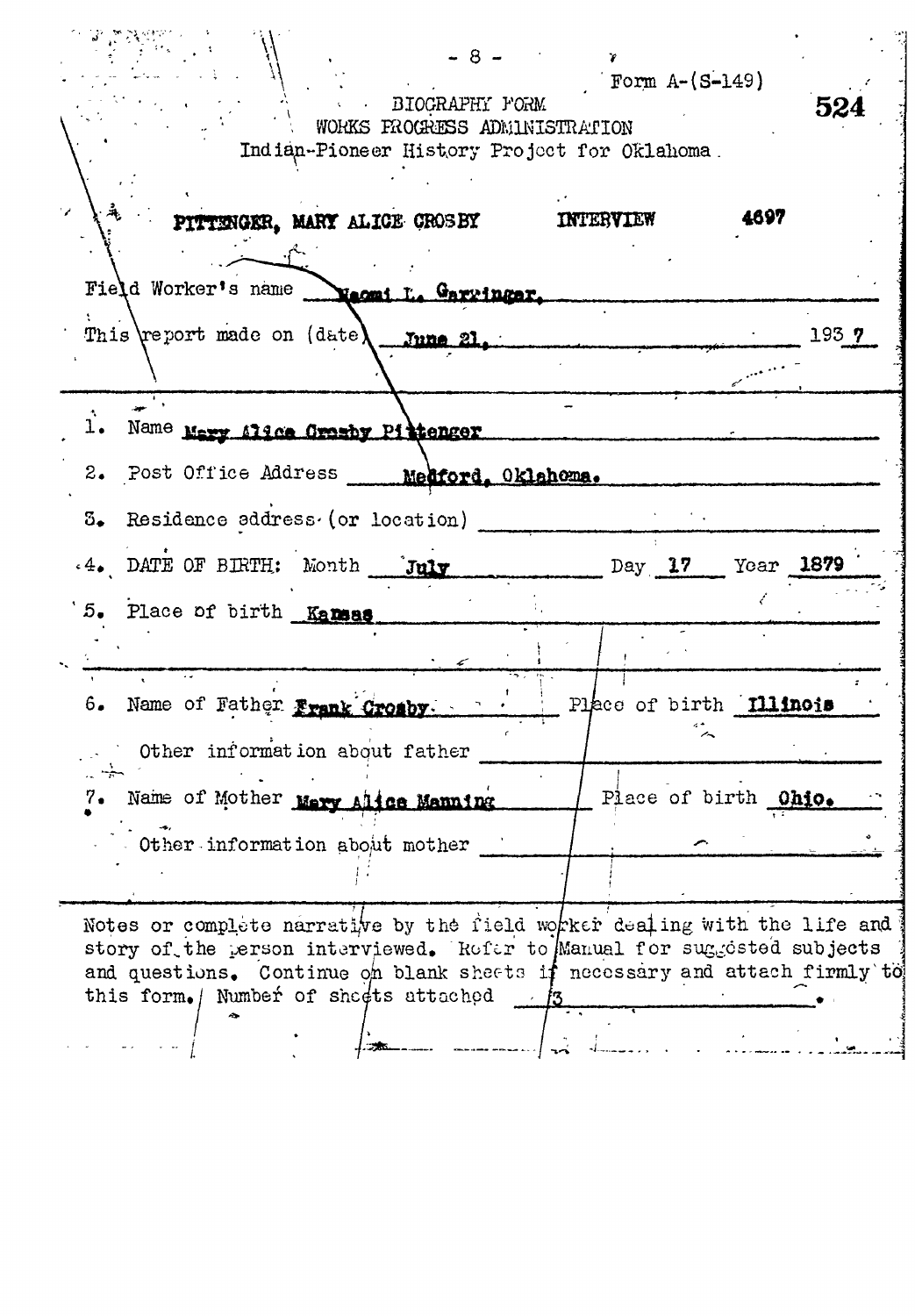| BIOGRAPHY FORM<br>WORKS FROGRESS ADMINISTRATION<br>Indian-Pioneer History Project for Oklahoma.<br>PITTENGER, MARY ALICE CROSBY                                                                                                                                           | INTERVIEW                                              | 524<br>4697      |
|---------------------------------------------------------------------------------------------------------------------------------------------------------------------------------------------------------------------------------------------------------------------------|--------------------------------------------------------|------------------|
| Field Worker's name <b>Neomi L. Garyinger</b> .<br>This report made on (date) June 21.                                                                                                                                                                                    |                                                        | 193 <sub>7</sub> |
| 1. Name Mary 114ce Crashy Pittenger<br>2. Post Office Address ___ Medford. Oklahoma.<br>3. Residence address (or location)<br>.4. DATE OF BIRTH: Month July                                                                                                               |                                                        |                  |
| 5. Place of birth Kansas                                                                                                                                                                                                                                                  | Day 17 Year 1879                                       |                  |
| 6. Name of Father Frank Crosby.<br>Other information about father<br>$\rightarrow$<br>Name of Mother Mery Alice Manning<br>7.<br>Other information about mother                                                                                                           | Place of birth <b>Illinois</b><br>Place of birth Ohio. |                  |
| Notes or complete narrative by the field worker dealing with the life and<br>story of the person interviewed. Refer to Manual for suggested subjects<br>and questions. Continue on blank sheets if necessary and attach firmly to<br>this form. Number of sheets attached | - 13                                                   |                  |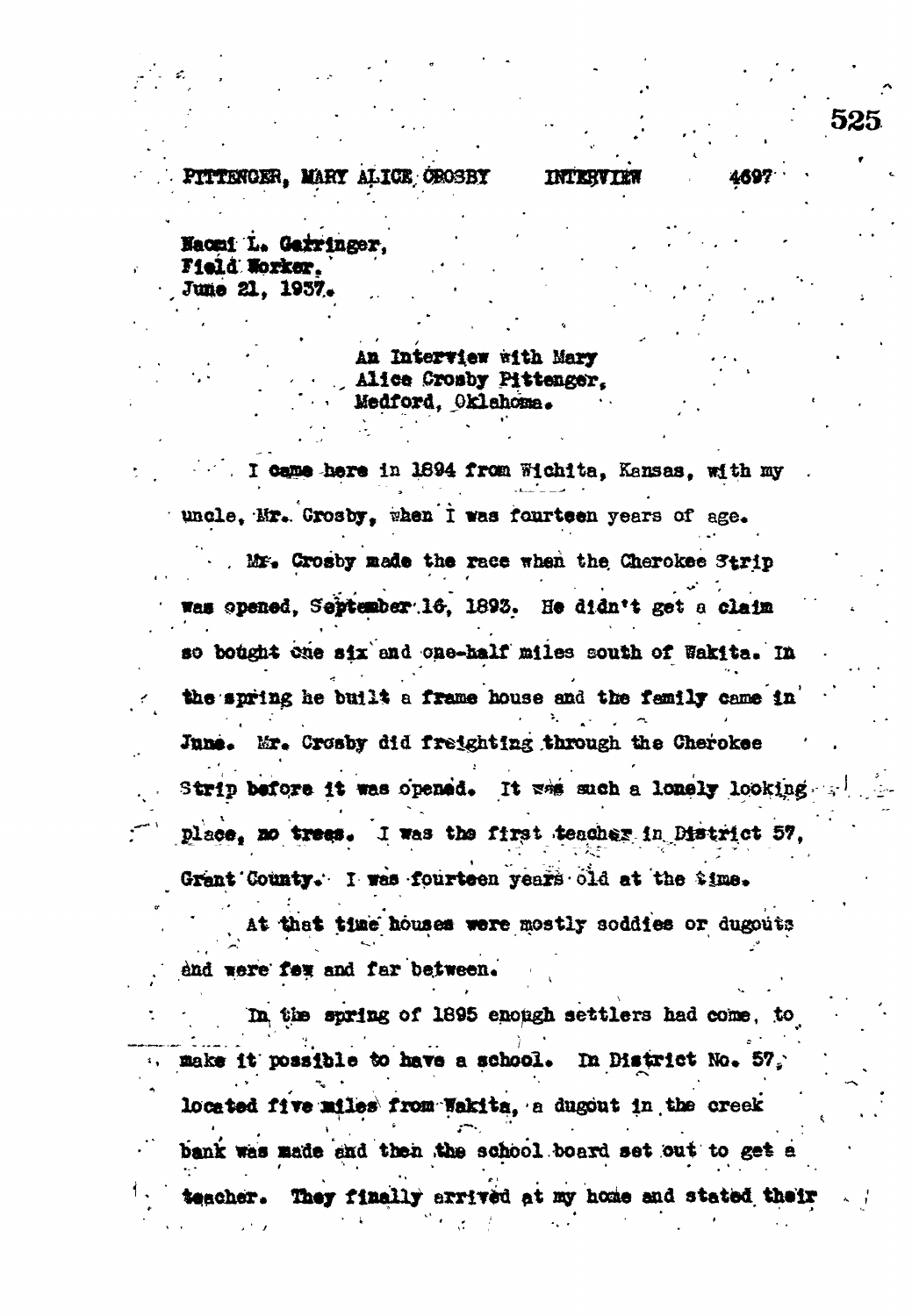## PITTENGER. MARY ALICE OROSBY

## **INTERVIE**

4697

Naomi L. Garringer. Field Worker. June 21, 1957.

> An Interview with Mary Alice Crosby Pittenger. Medford, Oklahoma.

I came here in 1894 from Wichita, Kansas, with my uncle. Mr. Crosby, when I was fourteen years of age.

Mr. Crosby made the race when the Cherokee Strip Was opened. September 16, 1893. He didn't get a claim so bought one six and one-half miles south of Wakita. In the spring he built a frame house and the family came in June. Mr. Crosby did freighting through the Cherokee Strip before it was opened. It was such a lonely looking place, no trees. I was the first teacher in District 57. Grant County. I was fourteen years old at the \$ime.

At that time houses were mostly soddies or dugouts end were few and far between.

In the spring of 1895 enough settlers had come, to make it possible to have a school. In District No. 57. located five miles from Wakita, a dugout in the creek bank was made and then the school board set out to get a teacher. They finally errived at my home and stated their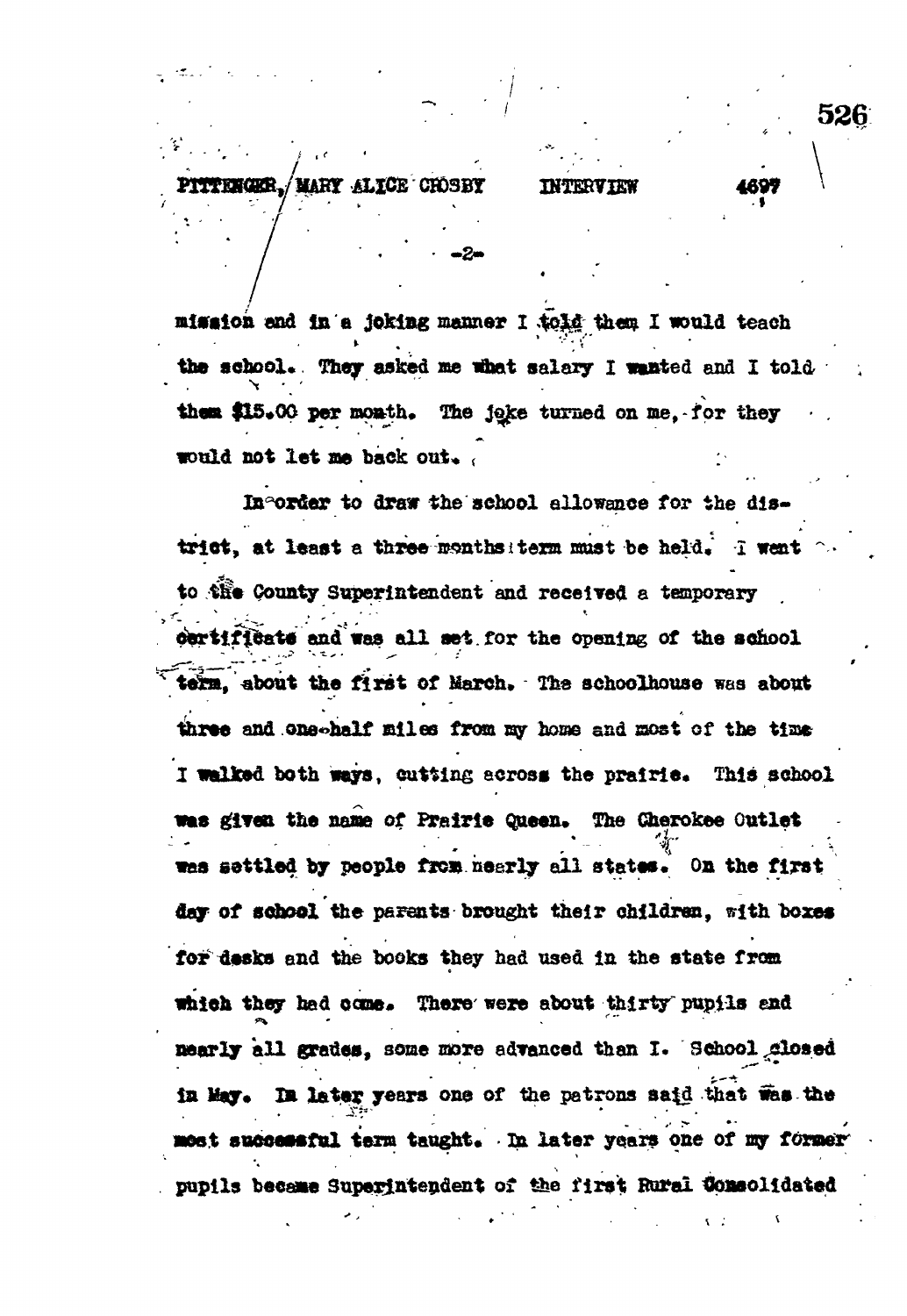## **MARY ALICE CHOSBY INTERVIEW**

**• , ' - -2 -**

**526**

• »

*\* **;**

**mission end in a joking manner I cfogg- them I would teach** >• ' ; • . " the school. They asked me what salary I wanted and I told them \$15.00 per month. The joke turned on me, for they **would not learn and leave out**  $\frac{1}{2}$ 

**In order to draw the school allowance for the dis**trict, at least a three months term must be held. I went **to iHe County Superintendent and received a temporary certificate and was all set. for the opening of the school** term, about the first of March. The schoolhouse was about three and one-half miles from my home and most of the time I walked both ways, cutting across the prairie. This school **was given the name of Prairie Queen, The Cherokee Outlet** was settled by people from nearly all states. On the first **day of school the parents brought their children, with boxes for deska and the books they had used In the state from** which they had come. There were about thirty pupils end **nearly all grades, some more advanced than I. School closed** in May. In later years one of the patrons said that was the most successful term taught. In later years one of my former pupils became Superintendent of the first Rural Consolidated